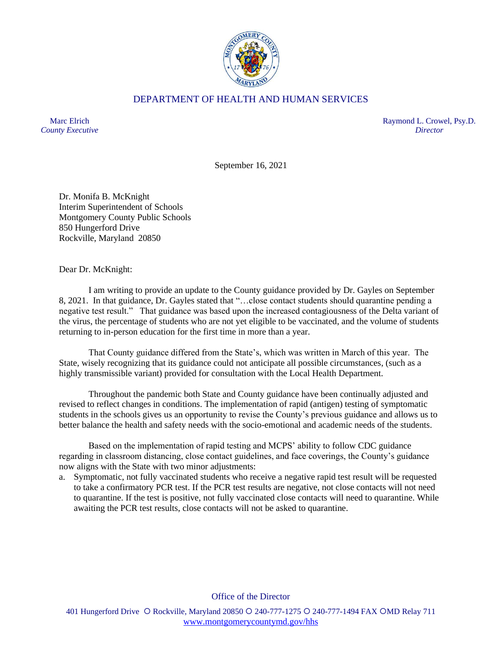

## DEPARTMENT OF HEALTH AND HUMAN SERVICES

Marc Elrich *County Executive* Raymond L. Crowel, Psy.D. *Director*

September 16, 2021

Dr. Monifa B. McKnight Interim Superintendent of Schools Montgomery County Public Schools 850 Hungerford Drive Rockville, Maryland 20850

Dear Dr. McKnight:

I am writing to provide an update to the County guidance provided by Dr. Gayles on September 8, 2021. In that guidance, Dr. Gayles stated that "…close contact students should quarantine pending a negative test result." That guidance was based upon the increased contagiousness of the Delta variant of the virus, the percentage of students who are not yet eligible to be vaccinated, and the volume of students returning to in-person education for the first time in more than a year.

That County guidance differed from the State's, which was written in March of this year. The State, wisely recognizing that its guidance could not anticipate all possible circumstances, (such as a highly transmissible variant) provided for consultation with the Local Health Department.

Throughout the pandemic both State and County guidance have been continually adjusted and revised to reflect changes in conditions. The implementation of rapid (antigen) testing of symptomatic students in the schools gives us an opportunity to revise the County's previous guidance and allows us to better balance the health and safety needs with the socio-emotional and academic needs of the students.

Based on the implementation of rapid testing and MCPS' ability to follow CDC guidance regarding in classroom distancing, close contact guidelines, and face coverings, the County's guidance now aligns with the State with two minor adjustments:

a. Symptomatic, not fully vaccinated students who receive a negative rapid test result will be requested to take a confirmatory PCR test. If the PCR test results are negative, not close contacts will not need to quarantine. If the test is positive, not fully vaccinated close contacts will need to quarantine. While awaiting the PCR test results, close contacts will not be asked to quarantine.

Office of the Director